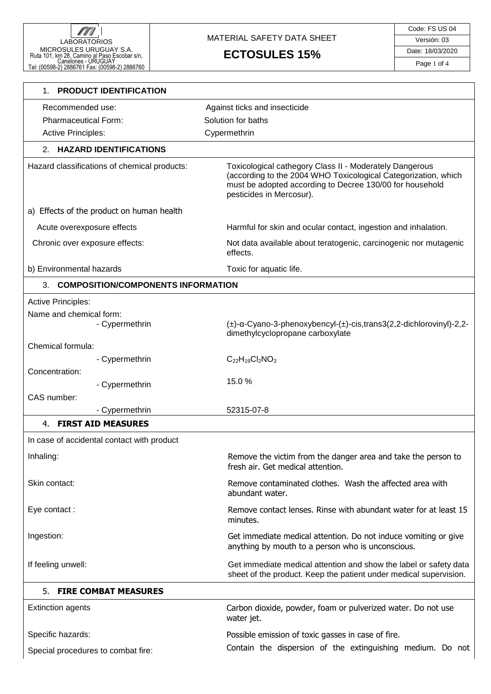#### MATERIAL SAFETY DATA SHEET

# **ECTOSULES 15%**

| <b>PRODUCT IDENTIFICATION</b><br>1.          |                                                                                                                                                                                                                   |
|----------------------------------------------|-------------------------------------------------------------------------------------------------------------------------------------------------------------------------------------------------------------------|
| Recommended use:                             | Against ticks and insecticide                                                                                                                                                                                     |
| <b>Pharmaceutical Form:</b>                  | Solution for baths                                                                                                                                                                                                |
| <b>Active Principles:</b>                    | Cypermethrin                                                                                                                                                                                                      |
| 2. HAZARD IDENTIFICATIONS                    |                                                                                                                                                                                                                   |
| Hazard classifications of chemical products: | Toxicological cathegory Class II - Moderately Dangerous<br>(according to the 2004 WHO Toxicological Categorization, which<br>must be adopted according to Decree 130/00 for household<br>pesticides in Mercosur). |
| a) Effects of the product on human health    |                                                                                                                                                                                                                   |
| Acute overexposure effects                   | Harmful for skin and ocular contact, ingestion and inhalation.                                                                                                                                                    |
| Chronic over exposure effects:               | Not data available about teratogenic, carcinogenic nor mutagenic<br>effects.                                                                                                                                      |
| b) Environmental hazards                     | Toxic for aquatic life.                                                                                                                                                                                           |
| 3. COMPOSITION/COMPONENTS INFORMATION        |                                                                                                                                                                                                                   |
| <b>Active Principles:</b>                    |                                                                                                                                                                                                                   |
| Name and chemical form:                      |                                                                                                                                                                                                                   |
| - Cypermethrin                               | $(\pm)$ -a-Cyano-3-phenoxybencyl- $(\pm)$ -cis,trans3(2,2-dichlorovinyl)-2,2-<br>dimethylcyclopropane carboxylate                                                                                                 |
| Chemical formula:<br>- Cypermethrin          | $C_{22}H_{19}Cl_2NO_3$                                                                                                                                                                                            |
| Concentration:                               |                                                                                                                                                                                                                   |
| - Cypermethrin                               | 15.0%                                                                                                                                                                                                             |
| CAS number:                                  |                                                                                                                                                                                                                   |
| - Cypermethrin                               | 52315-07-8                                                                                                                                                                                                        |
| <b>FIRST AID MEASURES</b><br>4.              |                                                                                                                                                                                                                   |
| In case of accidental contact with product   |                                                                                                                                                                                                                   |
| Inhaling:                                    | Remove the victim from the danger area and take the person to<br>fresh air. Get medical attention.                                                                                                                |
| Skin contact:                                | Remove contaminated clothes. Wash the affected area with<br>abundant water.                                                                                                                                       |
| Eye contact:                                 | Remove contact lenses. Rinse with abundant water for at least 15<br>minutes.                                                                                                                                      |
| Ingestion:                                   | Get immediate medical attention. Do not induce vomiting or give<br>anything by mouth to a person who is unconscious.                                                                                              |
| If feeling unwell:                           | Get immediate medical attention and show the label or safety data<br>sheet of the product. Keep the patient under medical supervision.                                                                            |
| <b>FIRE COMBAT MEASURES</b><br>5.            |                                                                                                                                                                                                                   |
| <b>Extinction agents</b>                     | Carbon dioxide, powder, foam or pulverized water. Do not use<br>water jet.                                                                                                                                        |
| Specific hazards:                            | Possible emission of toxic gasses in case of fire.                                                                                                                                                                |
| Special procedures to combat fire:           | Contain the dispersion of the extinguishing medium. Do not                                                                                                                                                        |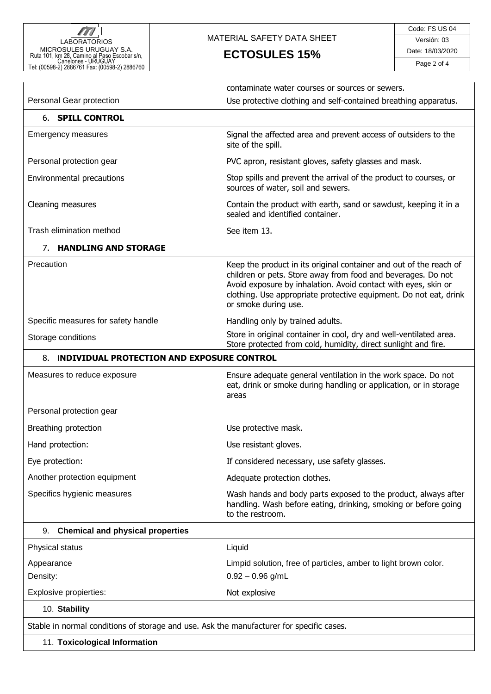

## MATERIAL SAFETY DATA SHEET

**ECTOSULES 15%**

|                                                                                          | contaminate water courses or sources or sewers.                                                                                                                                                                                                                                                   |  |
|------------------------------------------------------------------------------------------|---------------------------------------------------------------------------------------------------------------------------------------------------------------------------------------------------------------------------------------------------------------------------------------------------|--|
| Personal Gear protection                                                                 | Use protective clothing and self-contained breathing apparatus.                                                                                                                                                                                                                                   |  |
| <b>6. SPILL CONTROL</b>                                                                  |                                                                                                                                                                                                                                                                                                   |  |
| <b>Emergency measures</b>                                                                | Signal the affected area and prevent access of outsiders to the<br>site of the spill.                                                                                                                                                                                                             |  |
| Personal protection gear                                                                 | PVC apron, resistant gloves, safety glasses and mask.                                                                                                                                                                                                                                             |  |
| Environmental precautions                                                                | Stop spills and prevent the arrival of the product to courses, or<br>sources of water, soil and sewers.                                                                                                                                                                                           |  |
| Cleaning measures                                                                        | Contain the product with earth, sand or sawdust, keeping it in a<br>sealed and identified container.                                                                                                                                                                                              |  |
| Trash elimination method                                                                 | See item 13.                                                                                                                                                                                                                                                                                      |  |
| 7. HANDLING AND STORAGE                                                                  |                                                                                                                                                                                                                                                                                                   |  |
| Precaution                                                                               | Keep the product in its original container and out of the reach of<br>children or pets. Store away from food and beverages. Do not<br>Avoid exposure by inhalation. Avoid contact with eyes, skin or<br>clothing. Use appropriate protective equipment. Do not eat, drink<br>or smoke during use. |  |
| Specific measures for safety handle                                                      | Handling only by trained adults.                                                                                                                                                                                                                                                                  |  |
| Storage conditions                                                                       | Store in original container in cool, dry and well-ventilated area.<br>Store protected from cold, humidity, direct sunlight and fire.                                                                                                                                                              |  |
| 8. INDIVIDUAL PROTECTION AND EXPOSURE CONTROL                                            |                                                                                                                                                                                                                                                                                                   |  |
| Measures to reduce exposure                                                              | Ensure adequate general ventilation in the work space. Do not<br>eat, drink or smoke during handling or application, or in storage<br>areas                                                                                                                                                       |  |
| Personal protection gear                                                                 |                                                                                                                                                                                                                                                                                                   |  |
| Breathing protection                                                                     | Use protective mask.                                                                                                                                                                                                                                                                              |  |
| Hand protection:                                                                         | Use resistant gloves.                                                                                                                                                                                                                                                                             |  |
| Eye protection:                                                                          | If considered necessary, use safety glasses.                                                                                                                                                                                                                                                      |  |
| Another protection equipment                                                             | Adequate protection clothes.                                                                                                                                                                                                                                                                      |  |
| Specifics hygienic measures                                                              | Wash hands and body parts exposed to the product, always after<br>handling. Wash before eating, drinking, smoking or before going<br>to the restroom.                                                                                                                                             |  |
| <b>Chemical and physical properties</b><br>9.                                            |                                                                                                                                                                                                                                                                                                   |  |
| Physical status                                                                          | Liquid                                                                                                                                                                                                                                                                                            |  |
| Appearance                                                                               | Limpid solution, free of particles, amber to light brown color.                                                                                                                                                                                                                                   |  |
| Density:                                                                                 | $0.92 - 0.96$ g/mL                                                                                                                                                                                                                                                                                |  |
| Explosive propierties:                                                                   | Not explosive                                                                                                                                                                                                                                                                                     |  |
| 10. Stability                                                                            |                                                                                                                                                                                                                                                                                                   |  |
| Stable in normal conditions of storage and use. Ask the manufacturer for specific cases. |                                                                                                                                                                                                                                                                                                   |  |
| 11. Toxicological Information                                                            |                                                                                                                                                                                                                                                                                                   |  |